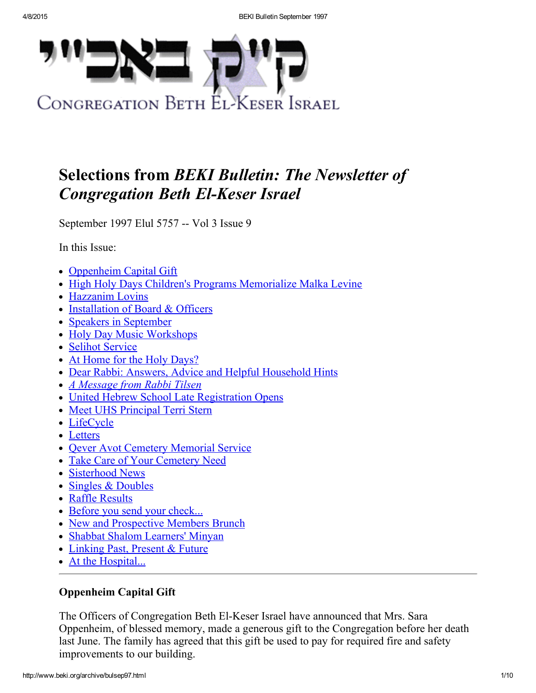

# Selections from BEKI Bulletin: The Newsletter of **Congregation Beth El-Keser Israel**

September 1997 Elul 5757 -- Vol 3 Issue 9

In this Issue:

- [Oppenheim](#page-0-0) Capital Gift
- High Holy Days Children's Programs [Memorialize](#page-1-0) Malka Levine
- [Hazzanim](#page-1-1) Lovins
- [Installation](#page-2-2) of Board & Officers
- Speakers in [September](#page-2-0)
- Holy Day Music [Workshops](#page-2-1)
- Selihot [Service](#page-3-0)
- At Home for the Holy [Days?](#page-3-3)
- Dear Rabbi: Answers, Advice and Helpful [Household](#page-3-2) Hints
- A [Message](#page-3-1) from Rabbi Tilsen
- United Hebrew School Late [Registration](#page-4-0) Opens
- Meet UHS [Principal](#page-4-1) Terri Stern
- [LifeCycle](#page-5-0)
- [Letters](#page-5-1)
- Qever Avot Cemetery [Memorial](#page-6-2) Service
- Take Care of Your [Cemetery](#page-6-1) Need
- [Sisterhood](#page-6-0) News
- Singles & [Doubles](#page-6-3)
- Raffle [Results](#page-7-0)
- Before you send your [check...](#page-7-2)
- New and [Prospective](#page-7-1) Members Brunch
- Shabbat Shalom [Learners'](#page-8-0) Minyan
- [Linking](#page-8-1) Past, Present & Future
- At the [Hospital...](#page-8-2)

# <span id="page-0-0"></span>Oppenheim Capital Gift

The Officers of Congregation Beth El-Keser Israel have announced that Mrs. Sara Oppenheim, of blessed memory, made a generous gift to the Congregation before her death last June. The family has agreed that this gift be used to pay for required fire and safety improvements to our building.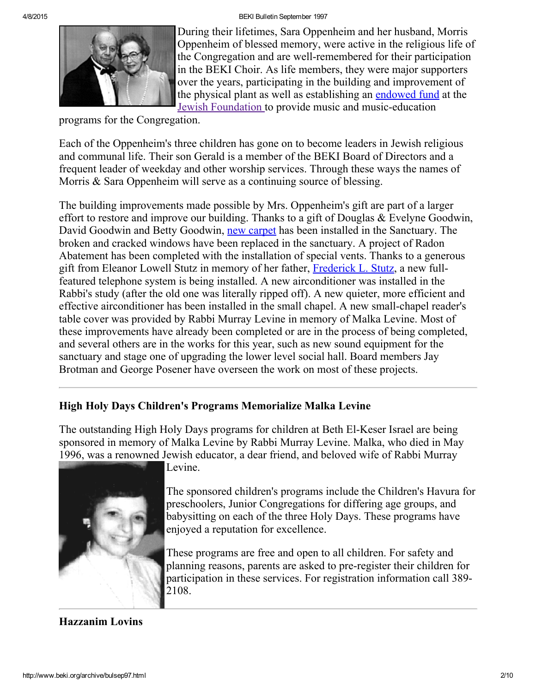4/8/2015 BEKI Bulletin September 1997



During their lifetimes, Sara Oppenheim and her husband, Morris Oppenheim of blessed memory, were active in the religious life of the Congregation and are well-remembered for their participation in the BEKI Choir. As life members, they were major supporters over the years, participating in the building and improvement of the physical plant as well as establishing an [endowed](http://www.beki.org/archive/endowment.html#oppenheim) fund at the Jewish [Foundation](http://www.newhavenjewishfoundation.org/) to provide music and music-education

programs for the Congregation.

Each of the Oppenheim's three children has gone on to become leaders in Jewish religious and communal life. Their son Gerald is a member of the BEKI Board of Directors and a frequent leader of weekday and other worship services. Through these ways the names of Morris & Sara Oppenheim will serve as a continuing source of blessing.

The building improvements made possible by Mrs. Oppenheim's gift are part of a larger effort to restore and improve our building. Thanks to a gift of Douglas & Evelyne Goodwin, David Goodwin and Betty Goodwin, new [carpet](http://www.beki.org/archive/bulaug97.html#carpet) has been installed in the Sanctuary. The broken and cracked windows have been replaced in the sanctuary. A project of Radon Abatement has been completed with the installation of special vents. Thanks to a generous gift from Eleanor Lowell Stutz in memory of her father, [Frederick](http://www.beki.org/archive/buljun97.html#stutz) L. Stutz, a new fullfeatured telephone system is being installed. A new airconditioner was installed in the Rabbi's study (after the old one was literally ripped off). A new quieter, more efficient and effective airconditioner has been installed in the small chapel. A new small-chapel reader's table cover was provided by Rabbi Murray Levine in memory of Malka Levine. Most of these improvements have already been completed or are in the process of being completed, and several others are in the works for this year, such as new sound equipment for the sanctuary and stage one of upgrading the lower level social hall. Board members Jay Brotman and George Posener have overseen the work on most of these projects.

# <span id="page-1-0"></span>High Holy Days Children's Programs Memorialize Malka Levine

The outstanding High Holy Days programs for children at Beth El-Keser Israel are being sponsored in memory of Malka Levine by Rabbi Murray Levine. Malka, who died in May 1996, was a renowned Jewish educator, a dear friend, and beloved wife of Rabbi Murray



Levine.

The sponsored children's programs include the Children's Havura for preschoolers, Junior Congregations for differing age groups, and babysitting on each of the three Holy Days. These programs have enjoyed a reputation for excellence.

These programs are free and open to all children. For safety and planning reasons, parents are asked to pre-register their children for participation in these services. For registration information call 389 2108.

<span id="page-1-1"></span>Hazzanim Lovins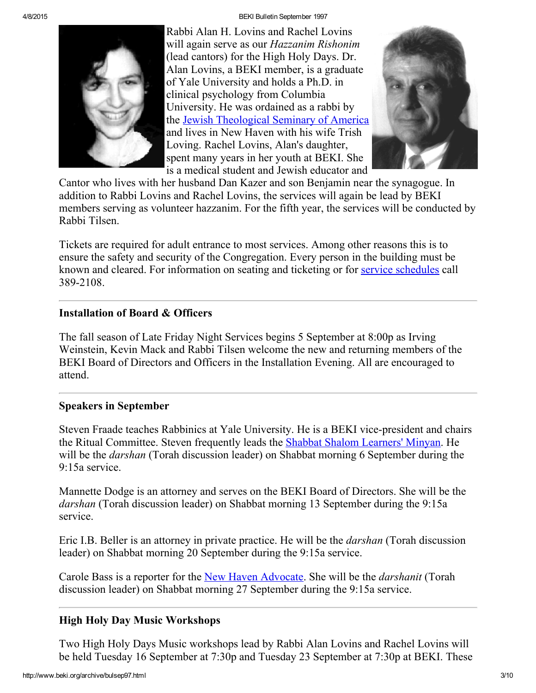4/8/2015 BEKI Bulletin September 1997



Rabbi Alan H. Lovins and Rachel Lovins will again serve as our Hazzanim Rishonim (lead cantors) for the High Holy Days. Dr. Alan Lovins, a BEKI member, is a graduate of Yale University and holds a Ph.D. in clinical psychology from Columbia University. He was ordained as a rabbi by the Jewish [Theological](http://www.jtsa.edu/) Seminary of America and lives in New Haven with his wife Trish Loving. Rachel Lovins, Alan's daughter, spent many years in her youth at BEKI. She is a medical student and Jewish educator and



Cantor who lives with her husband Dan Kazer and son Benjamin near the synagogue. In addition to Rabbi Lovins and Rachel Lovins, the services will again be lead by BEKI members serving as volunteer hazzanim. For the fifth year, the services will be conducted by Rabbi Tilsen.

Tickets are required for adult entrance to most services. Among other reasons this is to ensure the safety and security of the Congregation. Every person in the building must be known and cleared. For information on seating and ticketing or for service [schedules](http://www.beki.org/archive/schedule.html#yn) call 3892108.

## <span id="page-2-2"></span>Installation of Board & Officers

The fall season of Late Friday Night Services begins 5 September at 8:00p as Irving Weinstein, Kevin Mack and Rabbi Tilsen welcome the new and returning members of the BEKI Board of Directors and Officers in the Installation Evening. All are encouraged to attend.

## <span id="page-2-0"></span>Speakers in September

Steven Fraade teaches Rabbinics at Yale University. He is a BEKI vice-president and chairs the Ritual Committee. Steven frequently leads the Shabbat Shalom [Learners'](http://www.beki.org/archive/adulted.html#sslearnersminyan) Minyan. He will be the *darshan* (Torah discussion leader) on Shabbat morning 6 September during the 9:15a service.

Mannette Dodge is an attorney and serves on the BEKI Board of Directors. She will be the darshan (Torah discussion leader) on Shabbat morning 13 September during the 9:15a service.

Eric I.B. Beller is an attorney in private practice. He will be the darshan (Torah discussion leader) on Shabbat morning 20 September during the 9:15a service.

Carole Bass is a reporter for the New Haven [Advocate.](http://www.newhavenadvocate.com/) She will be the *darshanit* (Torah discussion leader) on Shabbat morning 27 September during the 9:15a service.

# <span id="page-2-1"></span>High Holy Day Music Workshops

Two High Holy Days Music workshops lead by Rabbi Alan Lovins and Rachel Lovins will be held Tuesday 16 September at 7:30p and Tuesday 23 September at 7:30p at BEKI. These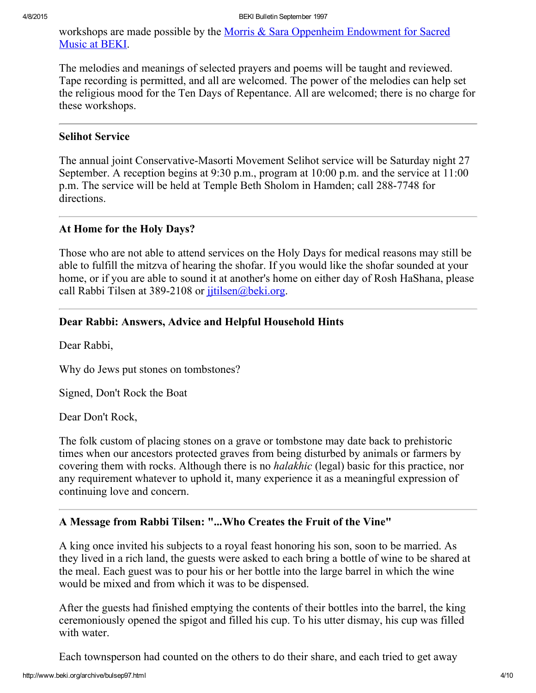workshops are made possible by the Morris & Sara Oppenheim [Endowment](http://www.beki.org/archive/endowment.html#oppenheim) for Sacred Music at BEKI.

The melodies and meanings of selected prayers and poems will be taught and reviewed. Tape recording is permitted, and all are welcomed. The power of the melodies can help set the religious mood for the Ten Days of Repentance. All are welcomed; there is no charge for these workshops.

#### <span id="page-3-0"></span>Selihot Service

The annual joint Conservative-Masorti Movement Selihot service will be Saturday night 27 September. A reception begins at 9:30 p.m., program at 10:00 p.m. and the service at 11:00 p.m. The service will be held at Temple Beth Sholom in Hamden; call 288-7748 for directions.

#### <span id="page-3-3"></span>At Home for the Holy Days?

Those who are not able to attend services on the Holy Days for medical reasons may still be able to fulfill the mitzva of hearing the shofar. If you would like the shofar sounded at your home, or if you are able to sound it at another's home on either day of Rosh HaShana, please call Rabbi Tilsen at 389-2108 or *jitilsen@beki.org*.

## <span id="page-3-2"></span>Dear Rabbi: Answers, Advice and Helpful Household Hints

Dear Rabbi,

Why do Jews put stones on tombstones?

Signed, Don't Rock the Boat

Dear Don't Rock,

The folk custom of placing stones on a grave or tombstone may date back to prehistoric times when our ancestors protected graves from being disturbed by animals or farmers by covering them with rocks. Although there is no *halakhic* (legal) basic for this practice, nor any requirement whatever to uphold it, many experience it as a meaningful expression of continuing love and concern.

#### <span id="page-3-1"></span>A Message from Rabbi Tilsen: "...Who Creates the Fruit of the Vine"

A king once invited his subjects to a royal feast honoring his son, soon to be married. As they lived in a rich land, the guests were asked to each bring a bottle of wine to be shared at the meal. Each guest was to pour his or her bottle into the large barrel in which the wine would be mixed and from which it was to be dispensed.

After the guests had finished emptying the contents of their bottles into the barrel, the king ceremoniously opened the spigot and filled his cup. To his utter dismay, his cup was filled with water.

Each townsperson had counted on the others to do their share, and each tried to get away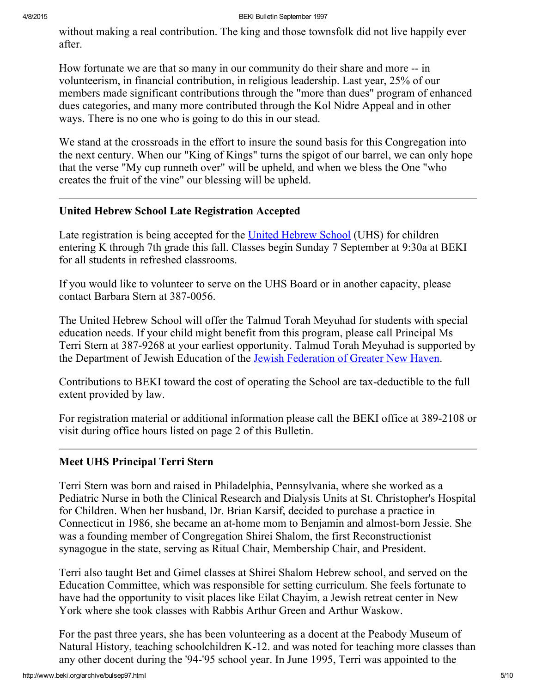without making a real contribution. The king and those townsfolk did not live happily ever after.

How fortunate we are that so many in our community do their share and more -- in volunteerism, in financial contribution, in religious leadership. Last year, 25% of our members made significant contributions through the "more than dues" program of enhanced dues categories, and many more contributed through the Kol Nidre Appeal and in other ways. There is no one who is going to do this in our stead.

We stand at the crossroads in the effort to insure the sound basis for this Congregation into the next century. When our "King of Kings" turns the spigot of our barrel, we can only hope that the verse "My cup runneth over" will be upheld, and when we bless the One "who creates the fruit of the vine" our blessing will be upheld.

## <span id="page-4-0"></span>United Hebrew School Late Registration Accepted

Late registration is being accepted for the United [Hebrew](http://www.beki.org/archive/youth.html%20#UHS) School (UHS) for children entering K through 7th grade this fall. Classes begin Sunday 7 September at 9:30a at BEKI for all students in refreshed classrooms.

If you would like to volunteer to serve on the UHS Board or in another capacity, please contact Barbara Stern at 387-0056.

The United Hebrew School will offer the Talmud Torah Meyuhad for students with special education needs. If your child might benefit from this program, please call Principal Ms Terri Stern at 387-9268 at your earliest opportunity. Talmud Torah Meyuhad is supported by the Department of Jewish Education of the Jewish [Federation](http://www.jewishnewhaven.org/) of Greater New Haven.

Contributions to BEKI toward the cost of operating the School are tax-deductible to the full extent provided by law.

For registration material or additional information please call the BEKI office at 389-2108 or visit during office hours listed on page 2 of this Bulletin.

## <span id="page-4-1"></span>Meet UHS Principal Terri Stern

Terri Stern was born and raised in Philadelphia, Pennsylvania, where she worked as a Pediatric Nurse in both the Clinical Research and Dialysis Units at St. Christopher's Hospital for Children. When her husband, Dr. Brian Karsif, decided to purchase a practice in Connecticut in 1986, she became an at-home mom to Benjamin and almost-born Jessie. She was a founding member of Congregation Shirei Shalom, the first Reconstructionist synagogue in the state, serving as Ritual Chair, Membership Chair, and President.

Terri also taught Bet and Gimel classes at Shirei Shalom Hebrew school, and served on the Education Committee, which was responsible for setting curriculum. She feels fortunate to have had the opportunity to visit places like Eilat Chayim, a Jewish retreat center in New York where she took classes with Rabbis Arthur Green and Arthur Waskow.

For the past three years, she has been volunteering as a docent at the Peabody Museum of Natural History, teaching schoolchildren K-12. and was noted for teaching more classes than any other docent during the '94-'95 school year. In June 1995, Terri was appointed to the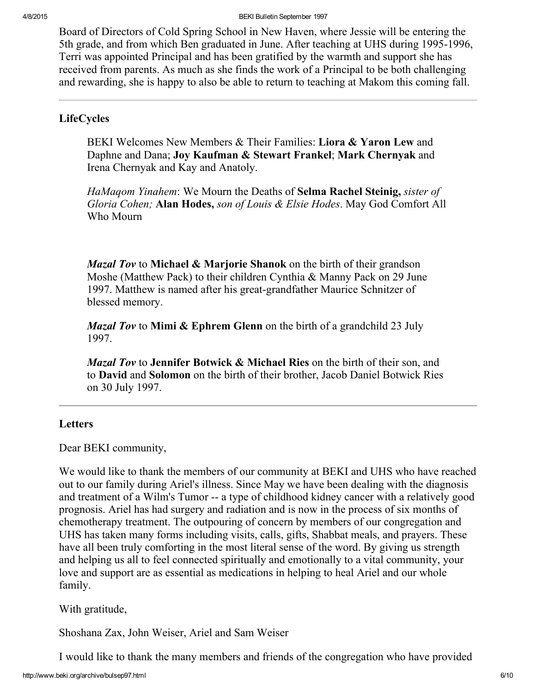Board of Directors of Cold Spring School in New Haven, where Jessie will be entering the 5th grade, and from which Ben graduated in June. After teaching at UHS during 1995-1996, Terri was appointed Principal and has been gratified by the warmth and support she has received from parents. As much as she finds the work of a Principal to be both challenging and rewarding, she is happy to also be able to return to teaching at Makom this coming fall.

## <span id="page-5-0"></span>LifeCycles

BEKI Welcomes New Members & Their Families: Liora & Yaron Lew and Daphne and Dana; Joy Kaufman & Stewart Frankel; Mark Chernyak and Irena Chernyak and Kay and Anatoly.

HaMagom Yinahem: We Mourn the Deaths of Selma Rachel Steinig, sister of Gloria Cohen; Alan Hodes, son of Louis & Elsie Hodes. May God Comfort All Who Mourn

*Mazal Tov* to Michael & Marjorie Shanok on the birth of their grandson Moshe (Matthew Pack) to their children Cynthia & Manny Pack on 29 June 1997. Matthew is named after his great-grandfather Maurice Schnitzer of blessed memory.

*Mazal Tov* to Mimi  $\&$  Ephrem Glenn on the birth of a grandchild 23 July 1997.

Mazal Tov to Jennifer Botwick & Michael Ries on the birth of their son, and to David and Solomon on the birth of their brother, Jacob Daniel Botwick Ries on 30 July 1997.

#### <span id="page-5-1"></span>Letters

Dear BEKI community,

We would like to thank the members of our community at BEKI and UHS who have reached out to our family during Ariel's illness. Since May we have been dealing with the diagnosis and treatment of a Wilm's Tumor -- a type of childhood kidney cancer with a relatively good prognosis. Ariel has had surgery and radiation and is now in the process of six months of chemotherapy treatment. The outpouring of concern by members of our congregation and UHS has taken many forms including visits, calls, gifts, Shabbat meals, and prayers. These have all been truly comforting in the most literal sense of the word. By giving us strength and helping us all to feel connected spiritually and emotionally to a vital community, your love and support are as essential as medications in helping to heal Ariel and our whole family.

With gratitude,

Shoshana Zax, John Weiser, Ariel and Sam Weiser

I would like to thank the many members and friends of the congregation who have provided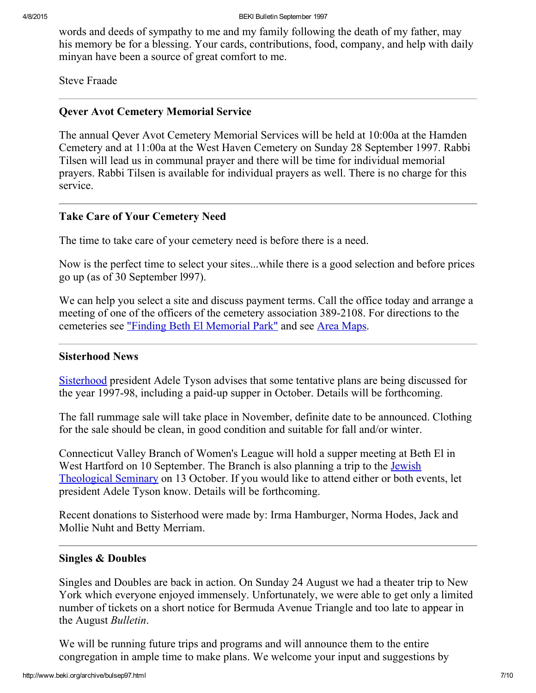words and deeds of sympathy to me and my family following the death of my father, may his memory be for a blessing. Your cards, contributions, food, company, and help with daily minyan have been a source of great comfort to me.

Steve Fraade

## <span id="page-6-2"></span>Qever Avot Cemetery Memorial Service

The annual Qever Avot Cemetery Memorial Services will be held at 10:00a at the Hamden Cemetery and at 11:00a at the West Haven Cemetery on Sunday 28 September 1997. Rabbi Tilsen will lead us in communal prayer and there will be time for individual memorial prayers. Rabbi Tilsen is available for individual prayers as well. There is no charge for this service.

## <span id="page-6-1"></span>Take Care of Your Cemetery Need

The time to take care of your cemetery need is before there is a need.

Now is the perfect time to select your sites...while there is a good selection and before prices go up (as of 30 September l997).

We can help you select a site and discuss payment terms. Call the office today and arrange a meeting of one of the officers of the cemetery association 389-2108. For directions to the cemeteries see "Finding Beth El [Memorial](http://www.beki.org/archive/findbemp.html) Park" and see Area [Maps.](http://www.beki.org/archive/mapfar.html)

#### <span id="page-6-0"></span>Sisterhood News

[Sisterhood](http://www.beki.org/archive/sisterhood.html) president Adele Tyson advises that some tentative plans are being discussed for the year 1997-98, including a paid-up supper in October. Details will be forthcoming.

The fall rummage sale will take place in November, definite date to be announced. Clothing for the sale should be clean, in good condition and suitable for fall and/or winter.

Connecticut Valley Branch of Women's League will hold a supper meeting at Beth El in West Hartford on 10 September. The Branch is also planning a trip to the **Jewish** [Theological](http://www.jtsa.edu/) Seminary on 13 October. If you would like to attend either or both events, let president Adele Tyson know. Details will be forthcoming.

Recent donations to Sisterhood were made by: Irma Hamburger, Norma Hodes, Jack and Mollie Nuht and Betty Merriam.

## <span id="page-6-3"></span>Singles & Doubles

Singles and Doubles are back in action. On Sunday 24 August we had a theater trip to New York which everyone enjoyed immensely. Unfortunately, we were able to get only a limited number of tickets on a short notice for Bermuda Avenue Triangle and too late to appear in the August Bulletin.

We will be running future trips and programs and will announce them to the entire congregation in ample time to make plans. We welcome your input and suggestions by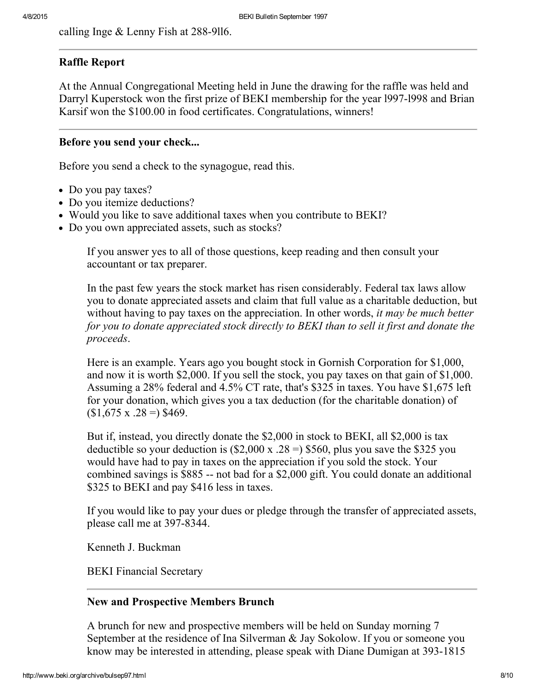calling Inge  $&$  Lenny Fish at 288-9116.

## <span id="page-7-0"></span>Raffle Report

At the Annual Congregational Meeting held in June the drawing for the raffle was held and Darryl Kuperstock won the first prize of BEKI membership for the year 1997-1998 and Brian Karsif won the \$100.00 in food certificates. Congratulations, winners!

## <span id="page-7-2"></span>Before you send your check...

Before you send a check to the synagogue, read this.

- Do you pay taxes?
- Do you itemize deductions?
- Would you like to save additional taxes when you contribute to BEKI?
- Do you own appreciated assets, such as stocks?

If you answer yes to all of those questions, keep reading and then consult your accountant or tax preparer.

In the past few years the stock market has risen considerably. Federal tax laws allow you to donate appreciated assets and claim that full value as a charitable deduction, but without having to pay taxes on the appreciation. In other words, *it may be much better* for you to donate appreciated stock directly to BEKI than to sell it first and donate the proceeds.

Here is an example. Years ago you bought stock in Gornish Corporation for \$1,000, and now it is worth \$2,000. If you sell the stock, you pay taxes on that gain of \$1,000. Assuming a 28% federal and 4.5% CT rate, that's \$325 in taxes. You have \$1,675 left for your donation, which gives you a tax deduction (for the charitable donation) of  $$1,675 \times .28 = $469.$ 

But if, instead, you directly donate the \$2,000 in stock to BEKI, all \$2,000 is tax deductible so your deduction is  $(\$2,000 \text{ x } .28 =)$  \$560, plus you save the \$325 you would have had to pay in taxes on the appreciation if you sold the stock. Your combined savings is  $$885$  -- not bad for a  $$2,000$  gift. You could donate an additional \$325 to BEKI and pay \$416 less in taxes.

If you would like to pay your dues or pledge through the transfer of appreciated assets, please call me at 397-8344.

Kenneth J. Buckman

BEKI Financial Secretary

## <span id="page-7-1"></span>New and Prospective Members Brunch

A brunch for new and prospective members will be held on Sunday morning 7 September at the residence of Ina Silverman & Jay Sokolow. If you or someone you know may be interested in attending, please speak with Diane Dumigan at 393-1815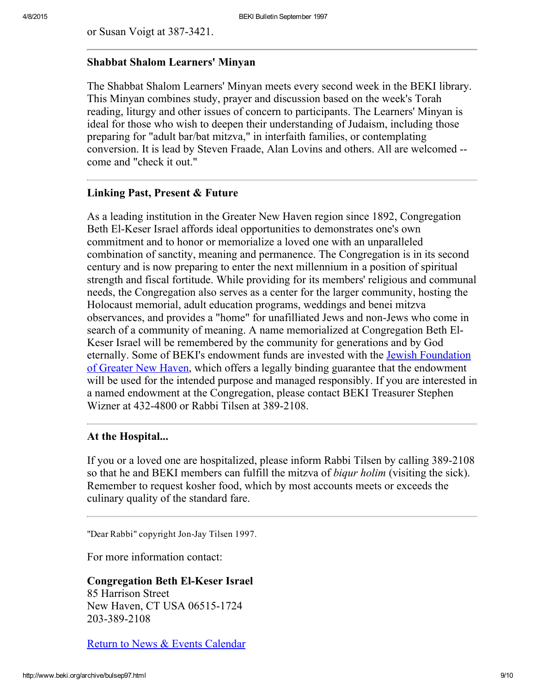or Susan Voigt at 387-3421.

#### <span id="page-8-0"></span>Shabbat Shalom Learners' Minyan

The Shabbat Shalom Learners' Minyan meets every second week in the BEKI library. This Minyan combines study, prayer and discussion based on the week's Torah reading, liturgy and other issues of concern to participants. The Learners' Minyan is ideal for those who wish to deepen their understanding of Judaism, including those preparing for "adult bar/bat mitzva," in interfaith families, or contemplating conversion. It is lead by Steven Fraade, Alan Lovins and others. All are welcomed come and "check it out."

#### <span id="page-8-1"></span>Linking Past, Present & Future

As a leading institution in the Greater New Haven region since 1892, Congregation Beth El-Keser Israel affords ideal opportunities to demonstrates one's own commitment and to honor or memorialize a loved one with an unparalleled combination of sanctity, meaning and permanence. The Congregation is in its second century and is now preparing to enter the next millennium in a position of spiritual strength and fiscal fortitude. While providing for its members' religious and communal needs, the Congregation also serves as a center for the larger community, hosting the Holocaust memorial, adult education programs, weddings and benei mitzva observances, and provides a "home" for unafilliated Jews and non-Jews who come in search of a community of meaning. A name memorialized at Congregation Beth El-Keser Israel will be remembered by the community for generations and by God eternally. Some of BEKI's [endowment](http://www.jewishnewhaven.org/FOUNDTN.htm) funds are invested with the Jewish Foundation of Greater New Haven, which offers a legally binding guarantee that the endowment will be used for the intended purpose and managed responsibly. If you are interested in a named endowment at the Congregation, please contact BEKI Treasurer Stephen Wizner at 432-4800 or Rabbi Tilsen at 389-2108.

#### <span id="page-8-2"></span>At the Hospital...

If you or a loved one are hospitalized, please inform Rabbi Tilsen by calling 389-2108 so that he and BEKI members can fulfill the mitzva of biqur holim (visiting the sick). Remember to request kosher food, which by most accounts meets or exceeds the culinary quality of the standard fare.

"Dear Rabbi" copyright Jon-Jay Tilsen 1997.

For more information contact:

#### **Congregation Beth El-Keser Israel**

85 Harrison Street New Haven, CT USA 06515-1724 203-389-2108

Return to News & Events [Calendar](http://www.beki.org/archive/newsindex.html)